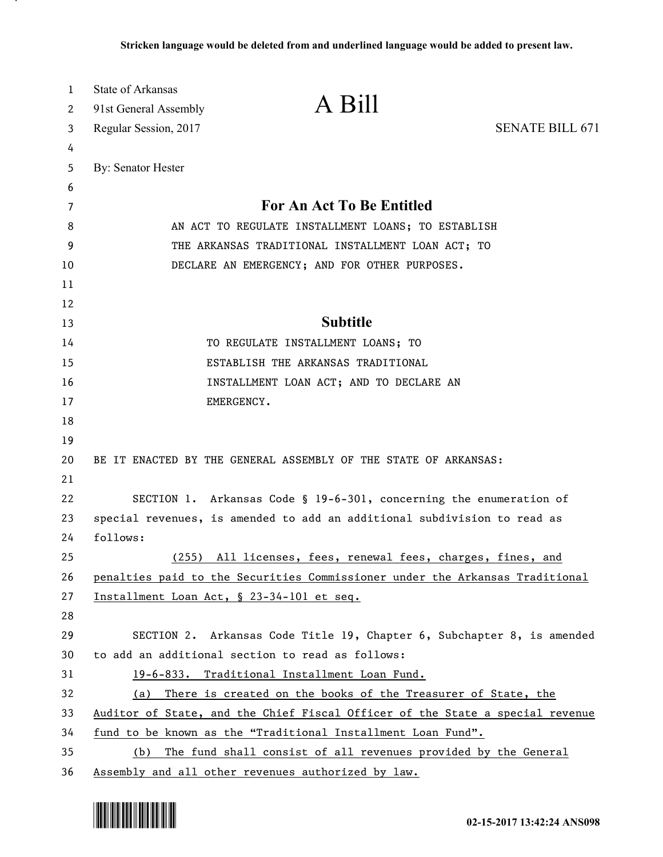| 1  | State of Arkansas                                                             |  |
|----|-------------------------------------------------------------------------------|--|
| 2  | A Bill<br>91st General Assembly                                               |  |
| 3  | <b>SENATE BILL 671</b><br>Regular Session, 2017                               |  |
| 4  |                                                                               |  |
| 5  | By: Senator Hester                                                            |  |
| 6  |                                                                               |  |
| 7  | For An Act To Be Entitled                                                     |  |
| 8  | AN ACT TO REGULATE INSTALLMENT LOANS; TO ESTABLISH                            |  |
| 9  | THE ARKANSAS TRADITIONAL INSTALLMENT LOAN ACT; TO                             |  |
| 10 | DECLARE AN EMERGENCY; AND FOR OTHER PURPOSES.                                 |  |
| 11 |                                                                               |  |
| 12 |                                                                               |  |
| 13 | <b>Subtitle</b>                                                               |  |
| 14 | TO REGULATE INSTALLMENT LOANS; TO                                             |  |
| 15 | ESTABLISH THE ARKANSAS TRADITIONAL                                            |  |
| 16 | INSTALLMENT LOAN ACT; AND TO DECLARE AN                                       |  |
| 17 | EMERGENCY.                                                                    |  |
| 18 |                                                                               |  |
| 19 |                                                                               |  |
| 20 | BE IT ENACTED BY THE GENERAL ASSEMBLY OF THE STATE OF ARKANSAS:               |  |
| 21 |                                                                               |  |
| 22 | SECTION 1. Arkansas Code § 19-6-301, concerning the enumeration of            |  |
| 23 | special revenues, is amended to add an additional subdivision to read as      |  |
| 24 | follows:                                                                      |  |
| 25 | (255) All licenses, fees, renewal fees, charges, fines, and                   |  |
| 26 | penalties paid to the Securities Commissioner under the Arkansas Traditional  |  |
| 27 | Installment Loan Act, § 23-34-101 et seq.                                     |  |
| 28 |                                                                               |  |
| 29 | SECTION 2. Arkansas Code Title 19, Chapter 6, Subchapter 8, is amended        |  |
| 30 | to add an additional section to read as follows:                              |  |
| 31 | 19-6-833. Traditional Installment Loan Fund.                                  |  |
| 32 | There is created on the books of the Treasurer of State, the<br>(a)           |  |
| 33 | Auditor of State, and the Chief Fiscal Officer of the State a special revenue |  |
| 34 | fund to be known as the "Traditional Installment Loan Fund".                  |  |
| 35 | The fund shall consist of all revenues provided by the General<br>(b)         |  |
| 36 | Assembly and all other revenues authorized by law.                            |  |



.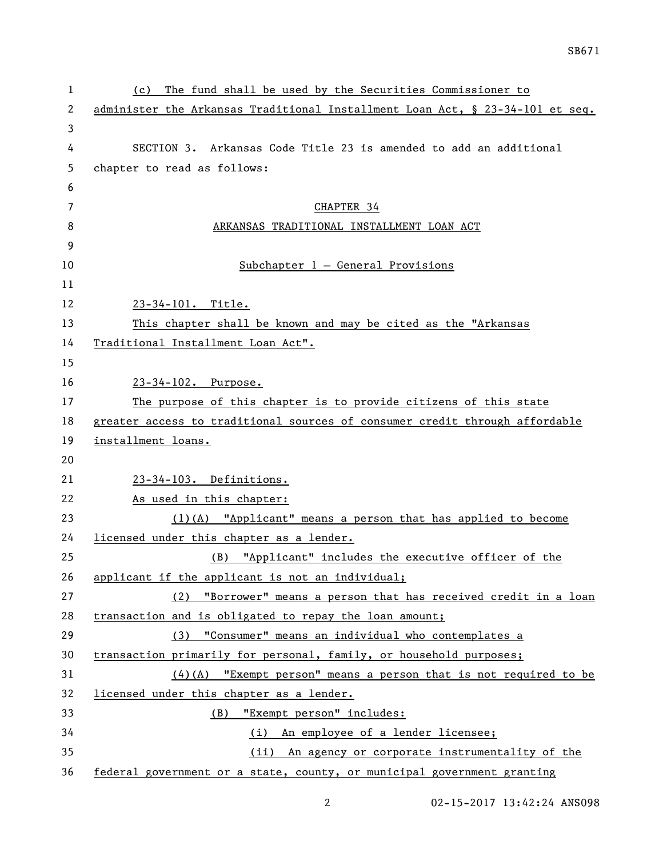| The fund shall be used by the Securities Commissioner to<br>(c)               |
|-------------------------------------------------------------------------------|
| administer the Arkansas Traditional Installment Loan Act, § 23-34-101 et seq. |
|                                                                               |
| SECTION 3. Arkansas Code Title 23 is amended to add an additional             |
| chapter to read as follows:                                                   |
|                                                                               |
| CHAPTER 34                                                                    |
| ARKANSAS TRADITIONAL INSTALLMENT LOAN ACT                                     |
|                                                                               |
| Subchapter $1$ - General Provisions                                           |
|                                                                               |
| 23-34-101. Title.                                                             |
| This chapter shall be known and may be cited as the "Arkansas                 |
| Traditional Installment Loan Act".                                            |
|                                                                               |
| 23-34-102. Purpose.                                                           |
| The purpose of this chapter is to provide citizens of this state              |
| greater access to traditional sources of consumer credit through affordable   |
| installment loans.                                                            |
|                                                                               |
| 23-34-103. Definitions.                                                       |
| As used in this chapter:                                                      |
| $(1)$ (A) "Applicant" means a person that has applied to become               |
| licensed under this chapter as a lender.                                      |
| (B) "Applicant" includes the executive officer of the                         |
| applicant if the applicant is not an individual;                              |
| "Borrower" means a person that has received credit in a loan<br>(2)           |
| transaction and is obligated to repay the loan amount;                        |
| (3) "Consumer" means an individual who contemplates a                         |
| transaction primarily for personal, family, or household purposes;            |
| $(4)$ (A) "Exempt person" means a person that is not required to be           |
| licensed under this chapter as a lender.                                      |
| "Exempt person" includes:<br>(B)                                              |
| (i) An employee of a lender licensee;                                         |
| (ii) An agency or corporate instrumentality of the                            |
| federal government or a state, county, or municipal government granting       |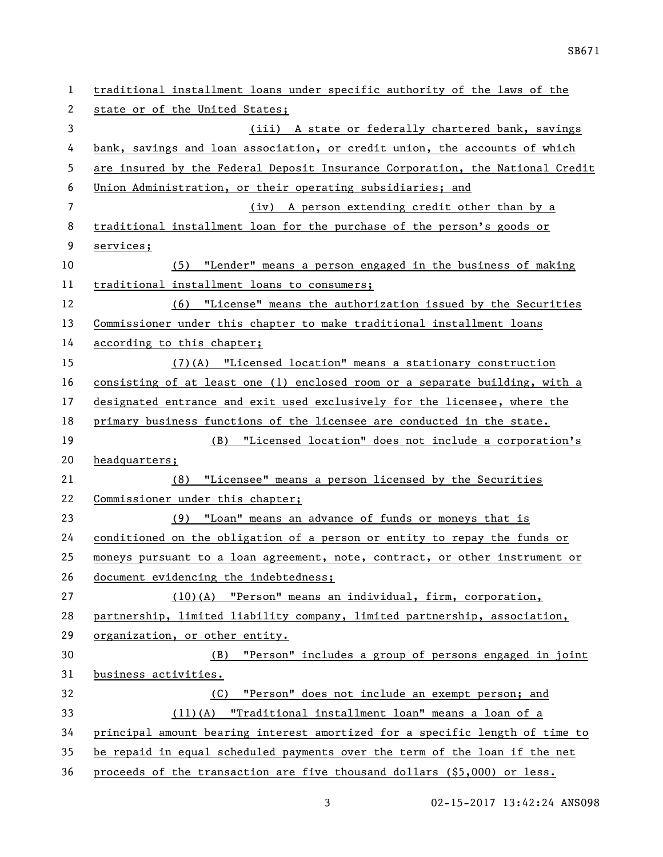| 1  | traditional installment loans under specific authority of the laws of the     |
|----|-------------------------------------------------------------------------------|
| 2  | state or of the United States;                                                |
| 3  | (iii) A state or federally chartered bank, savings                            |
| 4  | bank, savings and loan association, or credit union, the accounts of which    |
| 5  | are insured by the Federal Deposit Insurance Corporation, the National Credit |
| 6  | Union Administration, or their operating subsidiaries; and                    |
| 7  | (iv) A person extending credit other than by a                                |
| 8  | traditional installment loan for the purchase of the person's goods or        |
| 9  | services;                                                                     |
| 10 | "Lender" means a person engaged in the business of making<br>(5)              |
| 11 | traditional installment loans to consumers;                                   |
| 12 | (6) "License" means the authorization issued by the Securities                |
| 13 | Commissioner under this chapter to make traditional installment loans         |
| 14 | according to this chapter;                                                    |
| 15 | $(7)$ (A) "Licensed location" means a stationary construction                 |
| 16 | consisting of at least one (1) enclosed room or a separate building, with a   |
| 17 | designated entrance and exit used exclusively for the licensee, where the     |
| 18 | primary business functions of the licensee are conducted in the state.        |
| 19 | (B) "Licensed location" does not include a corporation's                      |
| 20 | headquarters;                                                                 |
| 21 | "Licensee" means a person licensed by the Securities<br>(8)                   |
| 22 | Commissioner under this chapter;                                              |
| 23 | (9) "Loan" means an advance of funds or moneys that is                        |
| 24 | conditioned on the obligation of a person or entity to repay the funds or     |
| 25 | moneys pursuant to a loan agreement, note, contract, or other instrument or   |
| 26 | document evidencing the indebtedness;                                         |
| 27 | (10)(A) "Person" means an individual, firm, corporation,                      |
| 28 | partnership, limited liability company, limited partnership, association,     |
| 29 | organization, or other entity.                                                |
| 30 | "Person" includes a group of persons engaged in joint<br>(B)                  |
| 31 | business activities.                                                          |
| 32 | "Person" does not include an exempt person; and<br>(C) =                      |
|    |                                                                               |
| 33 | (11)(A) "Traditional installment loan" means a loan of a                      |
| 34 | principal amount bearing interest amortized for a specific length of time to  |
| 35 | be repaid in equal scheduled payments over the term of the loan if the net    |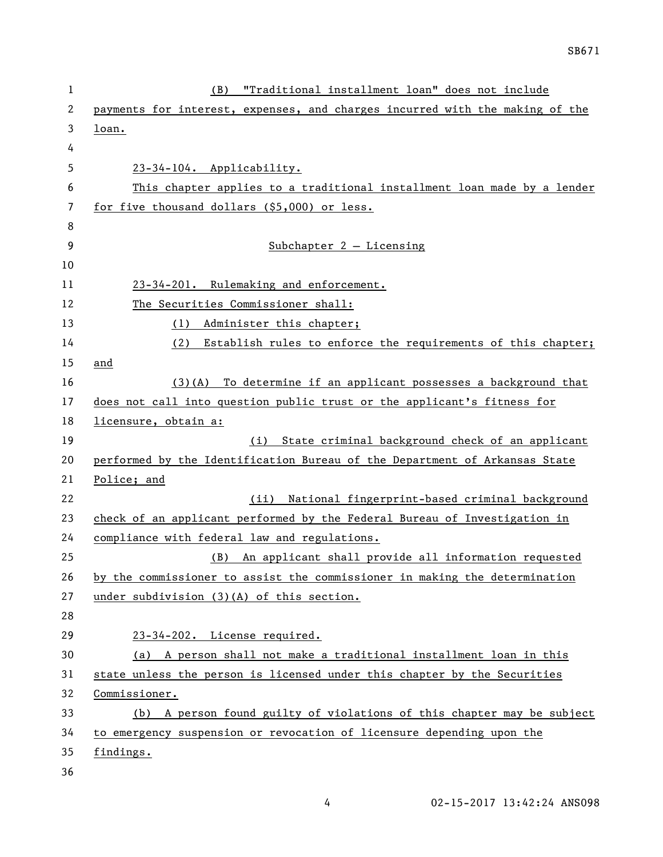| 1        | "Traditional installment loan" does not include<br>(B)                                                                  |
|----------|-------------------------------------------------------------------------------------------------------------------------|
| 2        | payments for interest, expenses, and charges incurred with the making of the                                            |
| 3        | loan.                                                                                                                   |
| 4        |                                                                                                                         |
| 5        | 23-34-104. Applicability.                                                                                               |
| 6        | This chapter applies to a traditional installment loan made by a lender                                                 |
| 7        | for five thousand dollars (\$5,000) or less.                                                                            |
| 8        |                                                                                                                         |
| 9        | Subchapter $2 -$ Licensing                                                                                              |
| 10       |                                                                                                                         |
| 11       | 23-34-201. Rulemaking and enforcement.                                                                                  |
| 12       | The Securities Commissioner shall:                                                                                      |
| 13       | (1) Administer this chapter;                                                                                            |
| 14       | Establish rules to enforce the requirements of this chapter;<br>(2)                                                     |
| 15       | and                                                                                                                     |
| 16       | $(3)(A)$ To determine if an applicant possesses a background that                                                       |
| 17       | does not call into question public trust or the applicant's fitness for                                                 |
| 18       | licensure, obtain a:                                                                                                    |
| 19       | (i) State criminal background check of an applicant                                                                     |
| 20       | performed by the Identification Bureau of the Department of Arkansas State                                              |
| 21       | Police; and                                                                                                             |
| 22       | National fingerprint-based criminal background<br>(ii)                                                                  |
| 23       | check of an applicant performed by the Federal Bureau of Investigation in                                               |
| 24       | compliance with federal law and regulations.                                                                            |
| 25       | (B) An applicant shall provide all information requested                                                                |
| 26<br>27 | by the commissioner to assist the commissioner in making the determination<br>under subdivision (3)(A) of this section. |
| 28       |                                                                                                                         |
| 29       | 23-34-202. License required.                                                                                            |
| 30       | (a) A person shall not make a traditional installment loan in this                                                      |
| 31       | state unless the person is licensed under this chapter by the Securities                                                |
| 32       | Commissioner.                                                                                                           |
| 33       | (b) A person found guilty of violations of this chapter may be subject                                                  |
| 34       | to emergency suspension or revocation of licensure depending upon the                                                   |
| 35       | findings.                                                                                                               |
| 36       |                                                                                                                         |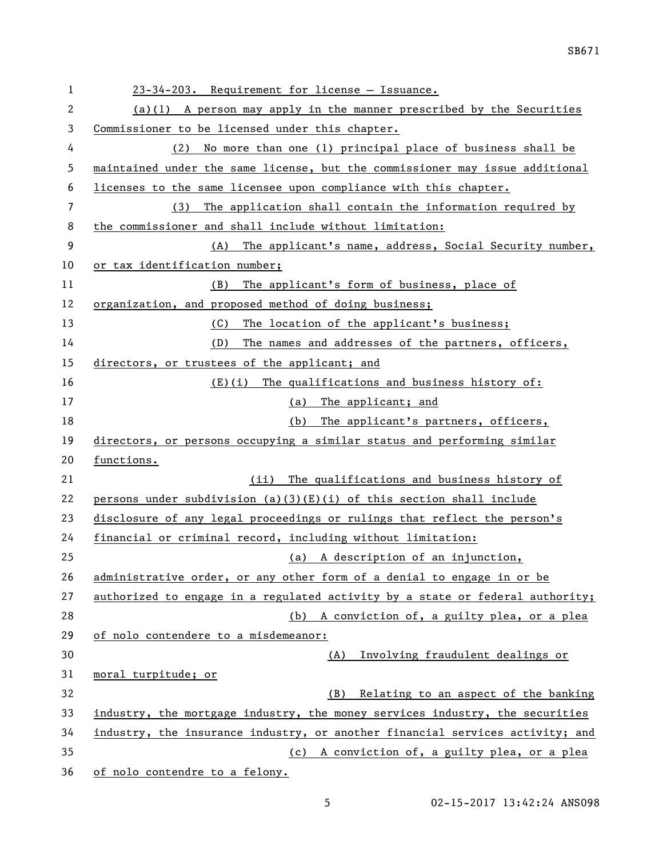| 1              | 23-34-203. Requirement for license - Issuance.                                |
|----------------|-------------------------------------------------------------------------------|
| $\overline{c}$ | $(a)(1)$ A person may apply in the manner prescribed by the Securities        |
| 3              | Commissioner to be licensed under this chapter.                               |
| 4              | No more than one (1) principal place of business shall be<br>(2)              |
| 5              | maintained under the same license, but the commissioner may issue additional  |
| 6              | licenses to the same licensee upon compliance with this chapter.              |
| 7              | The application shall contain the information required by<br>(3)              |
| 8              | the commissioner and shall include without limitation:                        |
| 9              | (A) The applicant's name, address, Social Security number,                    |
| 10             | or tax identification number;                                                 |
| 11             | The applicant's form of business, place of<br>(B)                             |
| 12             | organization, and proposed method of doing business;                          |
| 13             | The location of the applicant's business;<br>(C)                              |
| 14             | The names and addresses of the partners, officers,<br>(D)                     |
| 15             | directors, or trustees of the applicant; and                                  |
| 16             | (E)(i) The qualifications and business history of:                            |
| 17             | (a) The applicant; and                                                        |
| 18             | The applicant's partners, officers,<br>(b)                                    |
| 19             | directors, or persons occupying a similar status and performing similar       |
| 20             | functions.                                                                    |
| 21             | The qualifications and business history of<br>(ii)                            |
| 22             | persons under subdivision (a)(3)(E)(i) of this section shall include          |
| 23             | disclosure of any legal proceedings or rulings that reflect the person's      |
| 24             | financial or criminal record, including without limitation:                   |
| 25             | (a) A description of an injunction,                                           |
| 26             | administrative order, or any other form of a denial to engage in or be        |
| 27             | authorized to engage in a regulated activity by a state or federal authority; |
| 28             | (b) A conviction of, a guilty plea, or a plea                                 |
| 29             | of nolo contendere to a misdemeanor:                                          |
| 30             | Involving fraudulent dealings or<br>(A)                                       |
| 31             | moral turpitude; or                                                           |
| 32             | Relating to an aspect of the banking<br>(B)                                   |
| 33             | industry, the mortgage industry, the money services industry, the securities  |
| 34             | industry, the insurance industry, or another financial services activity; and |
| 35             | (c) A conviction of, a guilty plea, or a plea                                 |
| 36             | of nolo contendre to a felony.                                                |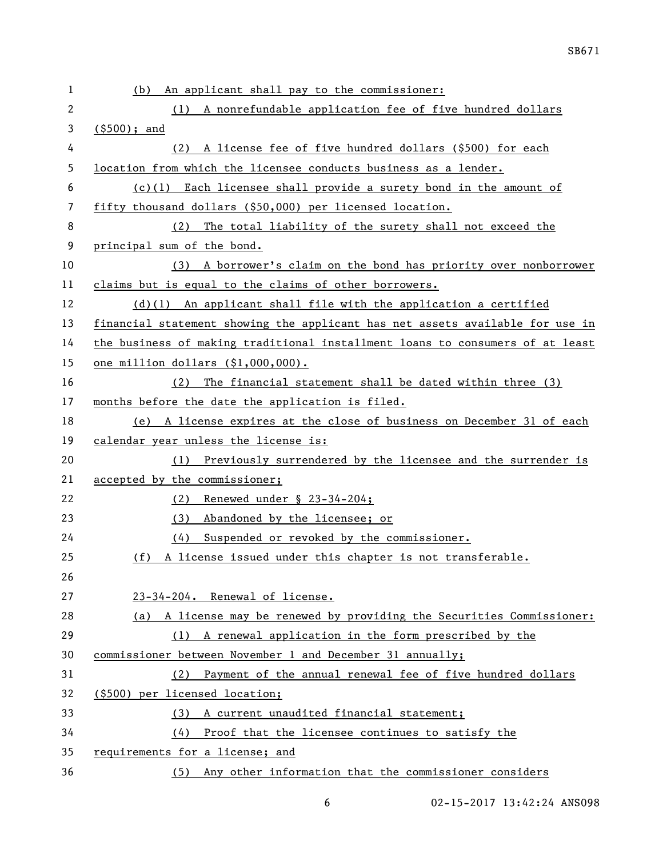| 1  | An applicant shall pay to the commissioner:<br>(b)                            |
|----|-------------------------------------------------------------------------------|
| 2  | (1) A nonrefundable application fee of five hundred dollars                   |
| 3  | $($ \$500); and                                                               |
| 4  | A license fee of five hundred dollars (\$500) for each<br>(2)                 |
| 5  | location from which the licensee conducts business as a lender.               |
| 6  | $(c)(1)$ Each licensee shall provide a surety bond in the amount of           |
| 7  | fifty thousand dollars (\$50,000) per licensed location.                      |
| 8  | The total liability of the surety shall not exceed the<br>(2)                 |
| 9  | principal sum of the bond.                                                    |
| 10 | A borrower's claim on the bond has priority over nonborrower<br>(3)           |
| 11 | claims but is equal to the claims of other borrowers.                         |
| 12 | $(d)(1)$ An applicant shall file with the application a certified             |
| 13 | financial statement showing the applicant has net assets available for use in |
| 14 | the business of making traditional installment loans to consumers of at least |
| 15 | one million dollars (\$1,000,000).                                            |
| 16 | The financial statement shall be dated within three (3)<br>(2)                |
| 17 | months before the date the application is filed.                              |
| 18 | (e) A license expires at the close of business on December 31 of each         |
| 19 | calendar year unless the license is:                                          |
| 20 | (1) Previously surrendered by the licensee and the surrender is               |
| 21 | accepted by the commissioner;                                                 |
| 22 | (2) Renewed under § 23-34-204;                                                |
| 23 | Abandoned by the licensee; or<br>(3)                                          |
| 24 | Suspended or revoked by the commissioner.<br>(4)                              |
| 25 | (f) A license issued under this chapter is not transferable.                  |
| 26 |                                                                               |
| 27 | 23-34-204. Renewal of license.                                                |
| 28 | (a) A license may be renewed by providing the Securities Commissioner:        |
| 29 | (1) A renewal application in the form prescribed by the                       |
| 30 | commissioner between November 1 and December 31 annually;                     |
| 31 | Payment of the annual renewal fee of five hundred dollars<br>(2)              |
| 32 | (\$500) per licensed location;                                                |
| 33 | A current unaudited financial statement;<br>(3)                               |
| 34 | Proof that the licensee continues to satisfy the<br>(4)                       |
| 35 | requirements for a license; and                                               |
| 36 | (5) Any other information that the commissioner considers                     |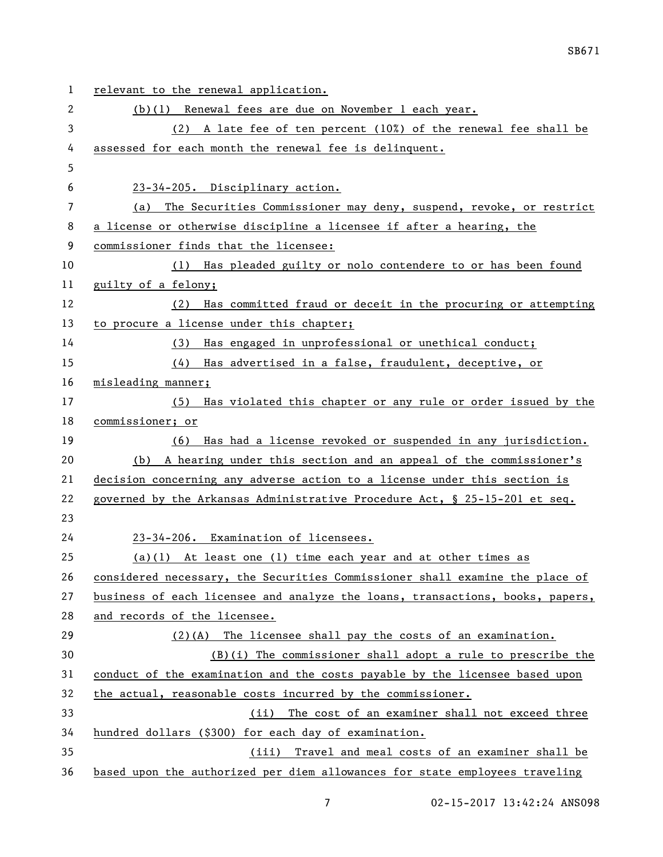| 1  | relevant to the renewal application.                                          |
|----|-------------------------------------------------------------------------------|
| 2  | (b)(1) Renewal fees are due on November 1 each year.                          |
| 3  | (2) A late fee of ten percent (10%) of the renewal fee shall be               |
| 4  | assessed for each month the renewal fee is delinquent.                        |
| 5  |                                                                               |
| 6  | 23-34-205. Disciplinary action.                                               |
| 7  | The Securities Commissioner may deny, suspend, revoke, or restrict<br>(a)     |
| 8  | a license or otherwise discipline a licensee if after a hearing, the          |
| 9  | commissioner finds that the licensee:                                         |
| 10 | (1) Has pleaded guilty or nolo contendere to or has been found                |
| 11 | guilty of a felony;                                                           |
| 12 | Has committed fraud or deceit in the procuring or attempting<br>(2)           |
| 13 | to procure a license under this chapter;                                      |
| 14 | Has engaged in unprofessional or unethical conduct;<br>(3)                    |
| 15 | (4) Has advertised in a false, fraudulent, deceptive, or                      |
| 16 | misleading manner;                                                            |
| 17 | (5) Has violated this chapter or any rule or order issued by the              |
| 18 | commissioner; or                                                              |
| 19 | (6) Has had a license revoked or suspended in any jurisdiction.               |
| 20 | (b) A hearing under this section and an appeal of the commissioner's          |
| 21 | decision concerning any adverse action to a license under this section is     |
| 22 | governed by the Arkansas Administrative Procedure Act, § 25-15-201 et seq.    |
| 23 |                                                                               |
| 24 | 23-34-206. Examination of licensees.                                          |
| 25 | $(a)(1)$ At least one (1) time each year and at other times as                |
| 26 | considered necessary, the Securities Commissioner shall examine the place of  |
| 27 | business of each licensee and analyze the loans, transactions, books, papers, |
| 28 | and records of the licensee.                                                  |
| 29 | $(2)(A)$ The licensee shall pay the costs of an examination.                  |
| 30 | $(B)(i)$ The commissioner shall adopt a rule to prescribe the                 |
| 31 | conduct of the examination and the costs payable by the licensee based upon   |
| 32 | the actual, reasonable costs incurred by the commissioner.                    |
| 33 | (ii) The cost of an examiner shall not exceed three                           |
| 34 | hundred dollars (\$300) for each day of examination.                          |
| 35 | (iii) Travel and meal costs of an examiner shall be                           |
| 36 | based upon the authorized per diem allowances for state employees traveling   |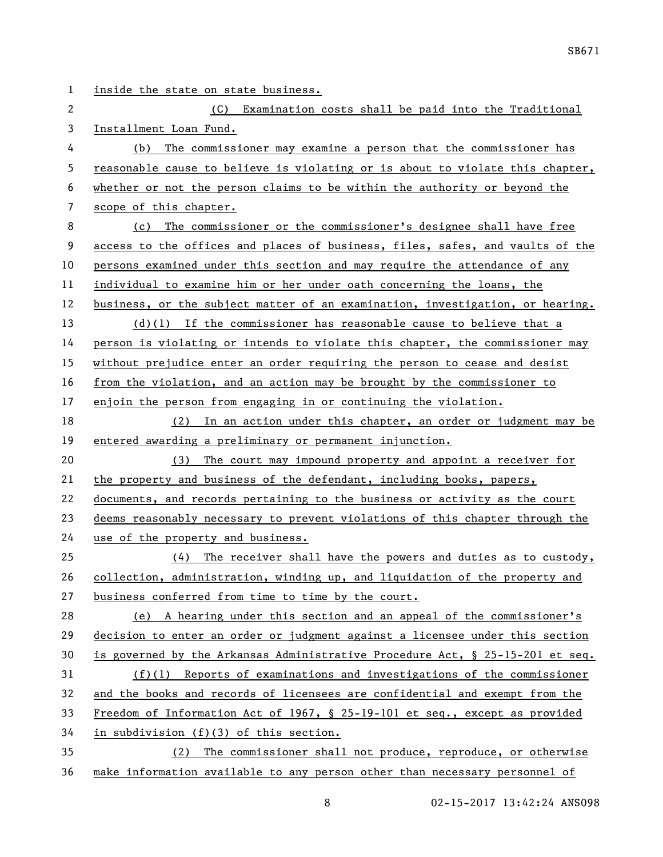inside the state on state business. (C) Examination costs shall be paid into the Traditional Installment Loan Fund. (b) The commissioner may examine a person that the commissioner has reasonable cause to believe is violating or is about to violate this chapter, whether or not the person claims to be within the authority or beyond the scope of this chapter. (c) The commissioner or the commissioner's designee shall have free access to the offices and places of business, files, safes, and vaults of the persons examined under this section and may require the attendance of any individual to examine him or her under oath concerning the loans, the business, or the subject matter of an examination, investigation, or hearing. (d)(1) If the commissioner has reasonable cause to believe that a person is violating or intends to violate this chapter, the commissioner may without prejudice enter an order requiring the person to cease and desist from the violation, and an action may be brought by the commissioner to enjoin the person from engaging in or continuing the violation. (2) In an action under this chapter, an order or judgment may be entered awarding a preliminary or permanent injunction. (3) The court may impound property and appoint a receiver for 21 the property and business of the defendant, including books, papers, documents, and records pertaining to the business or activity as the court deems reasonably necessary to prevent violations of this chapter through the use of the property and business. (4) The receiver shall have the powers and duties as to custody, collection, administration, winding up, and liquidation of the property and business conferred from time to time by the court. (e) A hearing under this section and an appeal of the commissioner's decision to enter an order or judgment against a licensee under this section is governed by the Arkansas Administrative Procedure Act, § 25-15-201 et seq. (f)(1) Reports of examinations and investigations of the commissioner and the books and records of licensees are confidential and exempt from the Freedom of Information Act of 1967, § 25-19-101 et seq., except as provided in subdivision (f)(3) of this section. (2) The commissioner shall not produce, reproduce, or otherwise make information available to any person other than necessary personnel of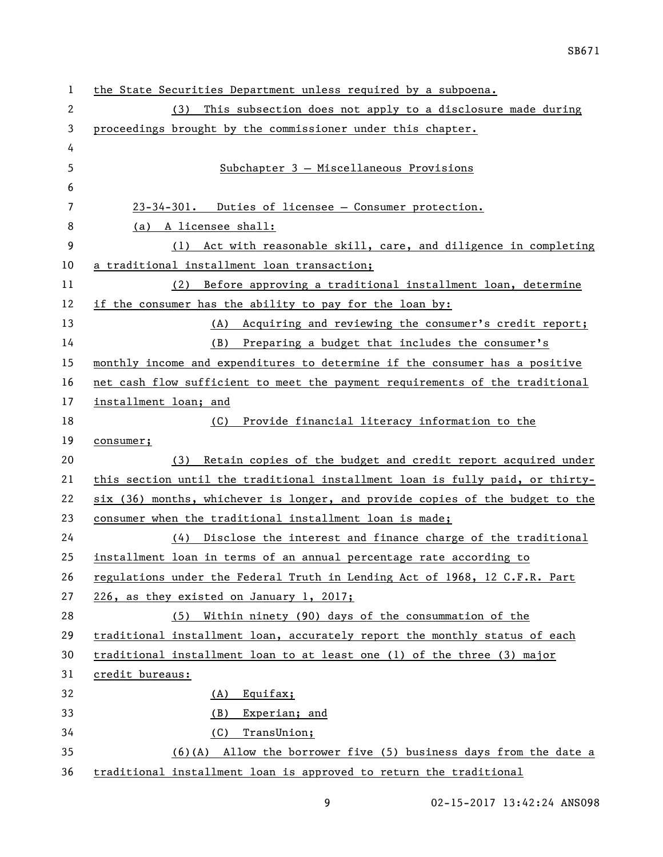| 1  | the State Securities Department unless required by a subpoena.                |
|----|-------------------------------------------------------------------------------|
| 2  | This subsection does not apply to a disclosure made during<br>(3)             |
| 3  | proceedings brought by the commissioner under this chapter.                   |
| 4  |                                                                               |
| 5  | Subchapter 3 - Miscellaneous Provisions                                       |
| 6  |                                                                               |
| 7  | 23-34-301. Duties of licensee - Consumer protection.                          |
| 8  | (a) A licensee shall:                                                         |
| 9  | (1) Act with reasonable skill, care, and diligence in completing              |
| 10 | a traditional installment loan transaction;                                   |
| 11 | (2) Before approving a traditional installment loan, determine                |
| 12 | if the consumer has the ability to pay for the loan by:                       |
| 13 | (A) Acquiring and reviewing the consumer's credit report;                     |
| 14 | Preparing a budget that includes the consumer's<br>(B)                        |
| 15 | monthly income and expenditures to determine if the consumer has a positive   |
| 16 | net cash flow sufficient to meet the payment requirements of the traditional  |
| 17 | installment loan; and                                                         |
| 18 | Provide financial literacy information to the<br>(C)                          |
| 19 | consumer;                                                                     |
| 20 | Retain copies of the budget and credit report acquired under<br>(3)           |
| 21 | this section until the traditional installment loan is fully paid, or thirty- |
| 22 | six (36) months, whichever is longer, and provide copies of the budget to the |
| 23 | consumer when the traditional installment loan is made;                       |
| 24 | (4) Disclose the interest and finance charge of the traditional               |
| 25 | installment loan in terms of an annual percentage rate according to           |
| 26 | regulations under the Federal Truth in Lending Act of 1968, 12 C.F.R. Part    |
| 27 | 226, as they existed on January 1, 2017;                                      |
| 28 | Within ninety (90) days of the consummation of the<br>(5)                     |
| 29 | traditional installment loan, accurately report the monthly status of each    |
| 30 | traditional installment loan to at least one (1) of the three (3) major       |
| 31 | credit bureaus:                                                               |
| 32 | Equifax;<br><u>(A)</u>                                                        |
| 33 | Experian; and<br><u>(B)</u>                                                   |
| 34 | (C)<br>TransUnion;                                                            |
| 35 | $(6)(A)$ Allow the borrower five (5) business days from the date a            |
| 36 | traditional installment loan is approved to return the traditional            |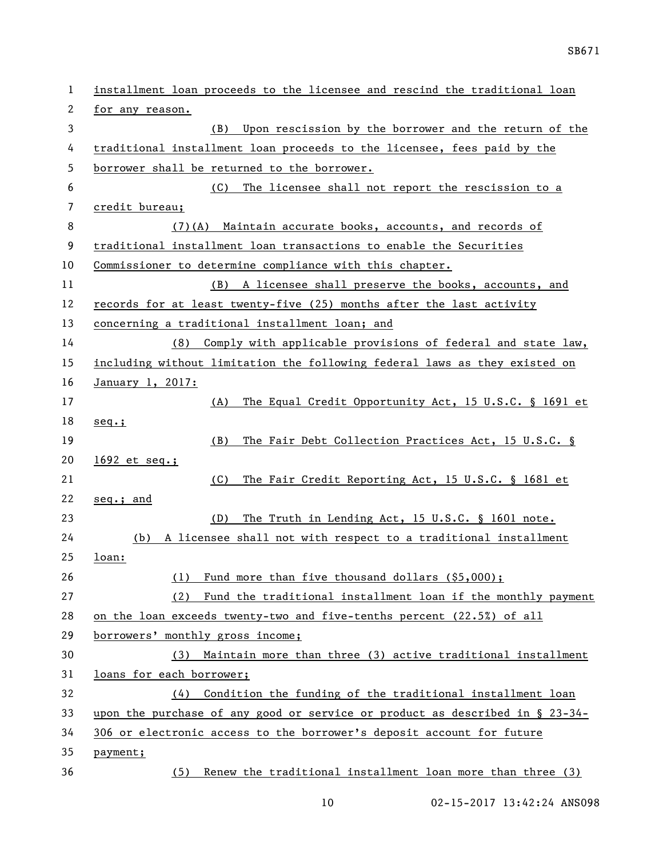| $\mathbf 1$ | installment loan proceeds to the licensee and rescind the traditional loan      |
|-------------|---------------------------------------------------------------------------------|
| 2           | for any reason.                                                                 |
| 3           | Upon rescission by the borrower and the return of the<br>(B)                    |
| 4           | traditional installment loan proceeds to the licensee, fees paid by the         |
| 5           | borrower shall be returned to the borrower.                                     |
| 6           | (C)<br>The licensee shall not report the rescission to a                        |
| 7           | credit bureau;                                                                  |
| 8           | Maintain accurate books, accounts, and records of<br>(7)(A)                     |
| 9           | traditional installment loan transactions to enable the Securities              |
| 10          | Commissioner to determine compliance with this chapter.                         |
| 11          | (B) A licensee shall preserve the books, accounts, and                          |
| 12          | records for at least twenty-five (25) months after the last activity            |
| 13          | concerning a traditional installment loan; and                                  |
| 14          | Comply with applicable provisions of federal and state law,<br>(8)              |
| 15          | including without limitation the following federal laws as they existed on      |
| 16          | January 1, 2017:                                                                |
| 17          | The Equal Credit Opportunity Act, 15 U.S.C. § 1691 et<br>(A)                    |
| 18          | $seq.$ ;                                                                        |
| 19          | The Fair Debt Collection Practices Act, 15 U.S.C. §<br>(B)                      |
| 20          | $1692$ et seq.;                                                                 |
| 21          | (C)<br>The Fair Credit Reporting Act, 15 U.S.C. § 1681 et                       |
| 22          | seq.; and                                                                       |
| 23          | The Truth in Lending Act, 15 U.S.C. § 1601 note.<br>(D)                         |
| 24          | (b)<br>A licensee shall not with respect to a traditional installment           |
| 25          | <u>loan:</u>                                                                    |
| 26          | Fund more than five thousand dollars (\$5,000);<br>(1)                          |
| 27          | Fund the traditional installment loan if the monthly payment<br>(2)             |
| 28          | on the loan exceeds twenty-two and five-tenths percent (22.5%) of all           |
| 29          | borrowers' monthly gross income;                                                |
| 30          | (3) Maintain more than three (3) active traditional installment                 |
| 31          | loans for each borrower;                                                        |
| 32          | (4) Condition the funding of the traditional installment loan                   |
| 33          | upon the purchase of any good or service or product as described in $\S$ 23-34- |
| 34          | 306 or electronic access to the borrower's deposit account for future           |
| 35          | payment;                                                                        |
| 36          | (5) Renew the traditional installment loan more than three (3)                  |
|             |                                                                                 |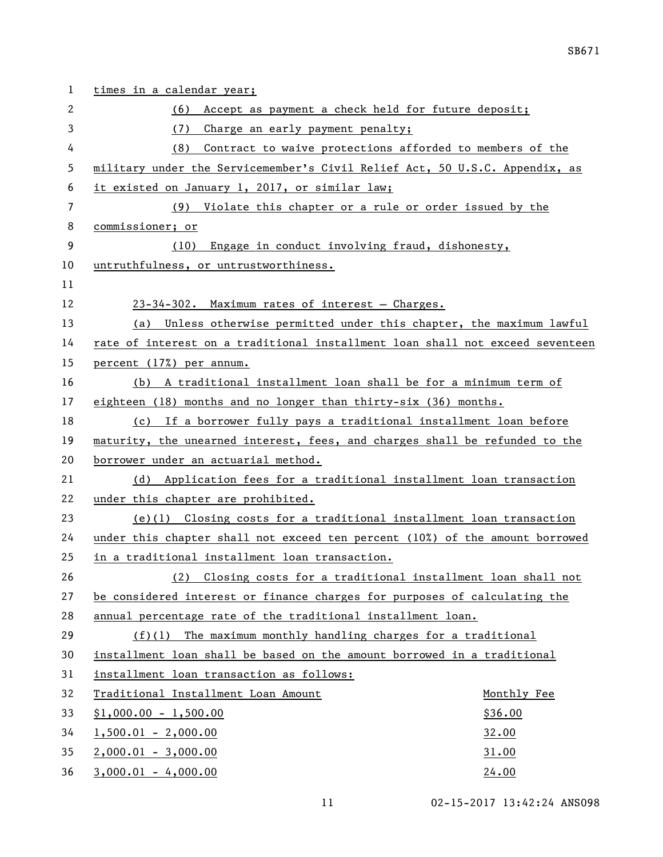| 1  | times in a calendar year;                                                     |
|----|-------------------------------------------------------------------------------|
| 2  | Accept as payment a check held for future deposit;<br>(6)                     |
| 3  | (7)<br>Charge an early payment penalty;                                       |
| 4  | Contract to waive protections afforded to members of the<br>(8)               |
| 5  | military under the Servicemember's Civil Relief Act, 50 U.S.C. Appendix, as   |
| 6  | it existed on January 1, 2017, or similar law;                                |
| 7  | (9) Violate this chapter or a rule or order issued by the                     |
| 8  | commissioner; or                                                              |
| 9  | Engage in conduct involving fraud, dishonesty,<br>(10)                        |
| 10 | untruthfulness, or untrustworthiness.                                         |
| 11 |                                                                               |
| 12 | 23-34-302. Maximum rates of interest - Charges.                               |
| 13 | (a) Unless otherwise permitted under this chapter, the maximum lawful         |
| 14 | rate of interest on a traditional installment loan shall not exceed seventeen |
| 15 | percent (17%) per annum.                                                      |
| 16 | (b) A traditional installment loan shall be for a minimum term of             |
| 17 | eighteen (18) months and no longer than thirty-six (36) months.               |
| 18 | (c) If a borrower fully pays a traditional installment loan before            |
| 19 | maturity, the unearned interest, fees, and charges shall be refunded to the   |
| 20 | borrower under an actuarial method.                                           |
| 21 | (d) Application fees for a traditional installment loan transaction           |
| 22 | under this chapter are prohibited.                                            |
| 23 | $(e)(1)$ Closing costs for a traditional installment loan transaction         |
| 24 | under this chapter shall not exceed ten percent (10%) of the amount borrowed  |
| 25 | in a traditional installment loan transaction.                                |
| 26 | Closing costs for a traditional installment loan shall not<br>(2)             |
| 27 | be considered interest or finance charges for purposes of calculating the     |
| 28 | annual percentage rate of the traditional installment loan.                   |
| 29 | $(f)(1)$ The maximum monthly handling charges for a traditional               |
| 30 | installment loan shall be based on the amount borrowed in a traditional       |
| 31 | installment loan transaction as follows:                                      |
| 32 | Traditional Installment Loan Amount<br>Monthly Fee                            |
| 33 | $$1,000.00 - 1,500.00$<br>\$36.00                                             |
| 34 | $1,500.01 - 2,000.00$<br>32.00                                                |
| 35 | $2,000.01 - 3,000.00$<br>31.00                                                |
| 36 | $3,000.01 - 4,000.00$<br>24.00                                                |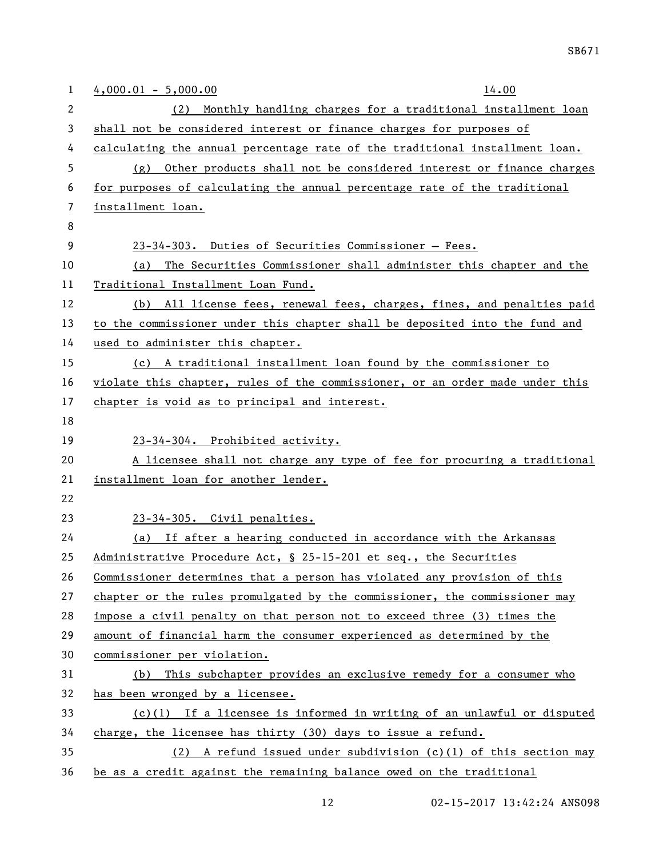| 1  | $4,000.01 - 5,000.00$<br>14.00                                               |
|----|------------------------------------------------------------------------------|
| 2  | Monthly handling charges for a traditional installment loan<br>(2)           |
| 3  | shall not be considered interest or finance charges for purposes of          |
| 4  | calculating the annual percentage rate of the traditional installment loan.  |
| 5  | (g) Other products shall not be considered interest or finance charges       |
| 6  | for purposes of calculating the annual percentage rate of the traditional    |
| 7  | installment loan.                                                            |
| 8  |                                                                              |
| 9  | 23-34-303. Duties of Securities Commissioner - Fees.                         |
| 10 | The Securities Commissioner shall administer this chapter and the<br>(a)     |
| 11 | Traditional Installment Loan Fund.                                           |
| 12 | (b) All license fees, renewal fees, charges, fines, and penalties paid       |
| 13 | to the commissioner under this chapter shall be deposited into the fund and  |
| 14 | used to administer this chapter.                                             |
| 15 | (c) A traditional installment loan found by the commissioner to              |
| 16 | violate this chapter, rules of the commissioner, or an order made under this |
| 17 | chapter is void as to principal and interest.                                |
| 18 |                                                                              |
| 19 | 23-34-304. Prohibited activity.                                              |
| 20 | A licensee shall not charge any type of fee for procuring a traditional      |
| 21 | installment loan for another lender.                                         |
| 22 |                                                                              |
| 23 | 23-34-305. Civil penalties.                                                  |
| 24 | (a) If after a hearing conducted in accordance with the Arkansas             |
| 25 | Administrative Procedure Act, § 25-15-201 et seq., the Securities            |
| 26 | Commissioner determines that a person has violated any provision of this     |
| 27 | chapter or the rules promulgated by the commissioner, the commissioner may   |
| 28 | impose a civil penalty on that person not to exceed three (3) times the      |
| 29 | amount of financial harm the consumer experienced as determined by the       |
| 30 | commissioner per violation.                                                  |
| 31 | (b) This subchapter provides an exclusive remedy for a consumer who          |
| 32 | has been wronged by a licensee.                                              |
| 33 | $(c)(1)$ If a licensee is informed in writing of an unlawful or disputed     |
| 34 | charge, the licensee has thirty (30) days to issue a refund.                 |
| 35 | $(2)$ A refund issued under subdivision $(c)(1)$ of this section may         |
| 36 | be as a credit against the remaining balance owed on the traditional         |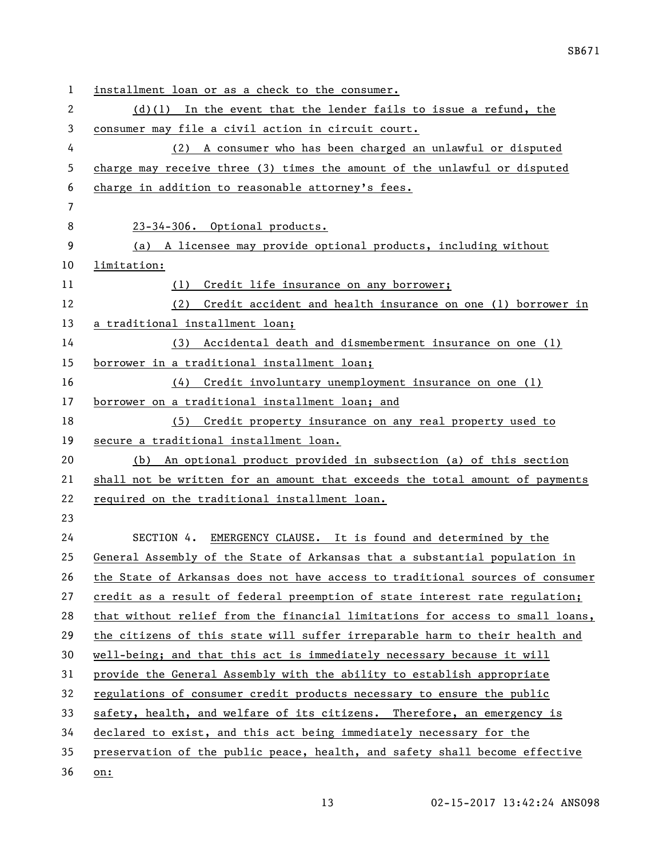| $\mathbf 1$ | installment loan or as a check to the consumer.                               |
|-------------|-------------------------------------------------------------------------------|
| 2           | $(d)(1)$ In the event that the lender fails to issue a refund, the            |
| 3           | consumer may file a civil action in circuit court.                            |
| 4           | (2) A consumer who has been charged an unlawful or disputed                   |
| 5           | charge may receive three (3) times the amount of the unlawful or disputed     |
| 6           | charge in addition to reasonable attorney's fees.                             |
| 7           |                                                                               |
| 8           | 23-34-306. Optional products.                                                 |
| 9           | (a) A licensee may provide optional products, including without               |
| 10          | limitation:                                                                   |
| 11          | Credit life insurance on any borrower;<br>(1)                                 |
| 12          | (2)<br>Credit accident and health insurance on one (1) borrower in            |
| 13          | a traditional installment loan;                                               |
| 14          | Accidental death and dismemberment insurance on one (1)<br>(3)                |
| 15          | borrower in a traditional installment loan;                                   |
| 16          | Credit involuntary unemployment insurance on one (1)<br>(4)                   |
| 17          | borrower on a traditional installment loan; and                               |
| 18          | Credit property insurance on any real property used to<br>(5)                 |
| 19          | secure a traditional installment loan.                                        |
| 20          | (b) An optional product provided in subsection (a) of this section            |
| 21          | shall not be written for an amount that exceeds the total amount of payments  |
| 22          | required on the traditional installment loan.                                 |
| 23          |                                                                               |
| 24          | SECTION 4. EMERGENCY CLAUSE. It is found and determined by the                |
| 25          | General Assembly of the State of Arkansas that a substantial population in    |
| 26          | the State of Arkansas does not have access to traditional sources of consumer |
| 27          | credit as a result of federal preemption of state interest rate regulation;   |
| 28          | that without relief from the financial limitations for access to small loans, |
| 29          | the citizens of this state will suffer irreparable harm to their health and   |
| 30          | well-being; and that this act is immediately necessary because it will        |
| 31          | provide the General Assembly with the ability to establish appropriate        |
| 32          | regulations of consumer credit products necessary to ensure the public        |
| 33          | safety, health, and welfare of its citizens. Therefore, an emergency is       |
| 34          | declared to exist, and this act being immediately necessary for the           |
| 35          | preservation of the public peace, health, and safety shall become effective   |
| 36          | on:                                                                           |